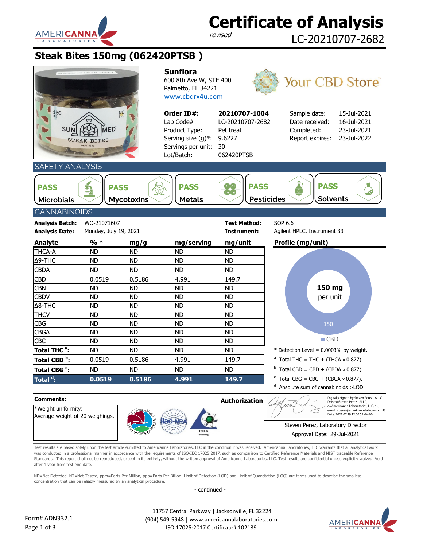

### **Certificate of Analysis**

revised

LC-20210707-2682

#### **Steak Bites 150mg (062420PTSB )**

| $\frac{150}{mg}$                                                                                                                                                                                                         | MED<br><b>STEAK BITES</b><br>Net Wt 164g | $\frac{ND}{THC}$ | <b>Sunflora</b><br>600 8th Ave W, STE 400<br>Palmetto, FL 34221<br>www.cbdrx4u.com<br>Order ID#:<br>Lab Code#:<br>Product Type:<br>Serving size (g)*:<br>Servings per unit:<br>Lot/Batch: | 20210707-1004<br>LC-20210707-2682<br>Pet treat<br>9.6227<br>30<br>062420PTSB | <b>Your CBD Store®</b><br>Sample date:<br>15-Jul-2021<br>16-Jul-2021<br>Date received:<br>23-Jul-2021<br>Completed:<br>Report expires:<br>23-Jul-2022                                                                           |  |  |  |  |
|--------------------------------------------------------------------------------------------------------------------------------------------------------------------------------------------------------------------------|------------------------------------------|------------------|-------------------------------------------------------------------------------------------------------------------------------------------------------------------------------------------|------------------------------------------------------------------------------|---------------------------------------------------------------------------------------------------------------------------------------------------------------------------------------------------------------------------------|--|--|--|--|
|                                                                                                                                                                                                                          |                                          |                  |                                                                                                                                                                                           |                                                                              |                                                                                                                                                                                                                                 |  |  |  |  |
| SAFETY ANALYSIS<br>$\frac{1}{\alpha}$<br><b>PASS</b><br><b>PASS</b><br>х<br><b>PASS</b><br><b>PASS</b><br><b>PASS</b><br><b>Solvents</b><br><b>Pesticides</b><br><b>Mycotoxins</b><br><b>Microbials</b><br><b>Metals</b> |                                          |                  |                                                                                                                                                                                           |                                                                              |                                                                                                                                                                                                                                 |  |  |  |  |
|                                                                                                                                                                                                                          | <b>CANNABINOIDS</b>                      |                  |                                                                                                                                                                                           |                                                                              |                                                                                                                                                                                                                                 |  |  |  |  |
| <b>Analysis Batch:</b><br><b>Analysis Date:</b>                                                                                                                                                                          | WO-21071607<br>Monday, July 19, 2021     |                  |                                                                                                                                                                                           | <b>Test Method:</b><br>Instrument:                                           | SOP 6.6<br>Agilent HPLC, Instrument 33                                                                                                                                                                                          |  |  |  |  |
| <b>Analyte</b>                                                                                                                                                                                                           | $%$ *                                    | mg/g             | mg/serving                                                                                                                                                                                | mg/unit                                                                      | Profile (mg/unit)                                                                                                                                                                                                               |  |  |  |  |
| THCA-A                                                                                                                                                                                                                   | <b>ND</b>                                | <b>ND</b>        | <b>ND</b>                                                                                                                                                                                 | <b>ND</b>                                                                    |                                                                                                                                                                                                                                 |  |  |  |  |
| Δ9-THC                                                                                                                                                                                                                   | <b>ND</b>                                | <b>ND</b>        | <b>ND</b>                                                                                                                                                                                 | <b>ND</b>                                                                    |                                                                                                                                                                                                                                 |  |  |  |  |
| <b>CBDA</b>                                                                                                                                                                                                              | <b>ND</b>                                | <b>ND</b>        | <b>ND</b>                                                                                                                                                                                 | <b>ND</b>                                                                    |                                                                                                                                                                                                                                 |  |  |  |  |
| <b>CBD</b>                                                                                                                                                                                                               | 0.0519                                   | 0.5186           | 4.991                                                                                                                                                                                     | 149.7                                                                        |                                                                                                                                                                                                                                 |  |  |  |  |
| <b>CBN</b>                                                                                                                                                                                                               | <b>ND</b>                                | <b>ND</b>        | <b>ND</b>                                                                                                                                                                                 | <b>ND</b>                                                                    | 150 mg                                                                                                                                                                                                                          |  |  |  |  |
| <b>CBDV</b>                                                                                                                                                                                                              | <b>ND</b>                                | <b>ND</b>        | <b>ND</b>                                                                                                                                                                                 | <b>ND</b>                                                                    | per unit                                                                                                                                                                                                                        |  |  |  |  |
| Δ8-THC                                                                                                                                                                                                                   | <b>ND</b>                                | <b>ND</b>        | <b>ND</b>                                                                                                                                                                                 | <b>ND</b>                                                                    |                                                                                                                                                                                                                                 |  |  |  |  |
| <b>THCV</b>                                                                                                                                                                                                              | <b>ND</b>                                | <b>ND</b>        | <b>ND</b>                                                                                                                                                                                 | <b>ND</b>                                                                    |                                                                                                                                                                                                                                 |  |  |  |  |
| <b>CBG</b>                                                                                                                                                                                                               | <b>ND</b>                                | <b>ND</b>        | <b>ND</b>                                                                                                                                                                                 | <b>ND</b>                                                                    | 150                                                                                                                                                                                                                             |  |  |  |  |
| <b>CBGA</b>                                                                                                                                                                                                              | <b>ND</b>                                | <b>ND</b>        | <b>ND</b>                                                                                                                                                                                 | <b>ND</b>                                                                    |                                                                                                                                                                                                                                 |  |  |  |  |
| <b>CBC</b>                                                                                                                                                                                                               | <b>ND</b>                                | <b>ND</b>        | <b>ND</b>                                                                                                                                                                                 | <b>ND</b>                                                                    | $\blacksquare$ CBD                                                                                                                                                                                                              |  |  |  |  |
| Total THC <sup>a</sup> :                                                                                                                                                                                                 | <b>ND</b>                                | <b>ND</b>        | <b>ND</b>                                                                                                                                                                                 | <b>ND</b>                                                                    | * Detection Level = $0.0003\%$ by weight.                                                                                                                                                                                       |  |  |  |  |
| Total CBD <sup>b</sup> :                                                                                                                                                                                                 | 0.0519                                   | 0.5186           | 4.991                                                                                                                                                                                     | 149.7                                                                        | $^{\circ}$ Total THC = THC + (THCA × 0.877).                                                                                                                                                                                    |  |  |  |  |
| Total CBG <sup>c</sup> :                                                                                                                                                                                                 | <b>ND</b>                                | <b>ND</b>        | <b>ND</b>                                                                                                                                                                                 | <b>ND</b>                                                                    | <sup>b</sup> Total CBD = CBD + (CBDA × 0.877).                                                                                                                                                                                  |  |  |  |  |
| Total <sup>d</sup> :                                                                                                                                                                                                     | 0.0519                                   | 0.5186           | 4.991                                                                                                                                                                                     | 149.7                                                                        | Total CBG = CBG + (CBGA $\times$ 0.877).                                                                                                                                                                                        |  |  |  |  |
|                                                                                                                                                                                                                          |                                          |                  |                                                                                                                                                                                           |                                                                              | Absolute sum of cannabinoids >LOD.                                                                                                                                                                                              |  |  |  |  |
| <b>Comments:</b><br>*Weight uniformity:<br>Average weight of 20 weighings.                                                                                                                                               |                                          |                  | <b>ac-MRA</b>                                                                                                                                                                             | <b>Authorization</b>                                                         | Digitally signed by Steven Perez - ALLC<br>DN: cn=Steven Perez - ALLC,<br>o=Americanna Laboratories, LLC, ou,<br>email=sperez@americannalab.com, c=US<br>Date: 2021.07.29 12:00:55 -04'00'<br>Steven Perez, Laboratory Director |  |  |  |  |
|                                                                                                                                                                                                                          |                                          |                  | <b>PJLA</b><br><b>Testin</b>                                                                                                                                                              |                                                                              | Approval Date: 29-Jul-2021                                                                                                                                                                                                      |  |  |  |  |

Test results are based solely upon the test article sumitted to Americanna Laboratories, LLC in the condition it was received. Americanna Laboratories, LLC warrants that all analytical work was conducted in a professional manner in accordance with the requirements of ISO/IEC 17025:2017, such as comparison to Certified Reference Materials and NIST traceable Reference Standards. This report shall not be reproduced, except in its entirety, without the written approval of Americanna Laboratories, LLC. Test results are confidential unless explicitly waived. Void after 1 year from test end date.

ND=Not Detected, NT=Not Tested, ppm=Parts Per Million, ppb=Parts Per Billion. Limit of Detection (LOD) and Limit of Quantitation (LOQ) are terms used to describe the smallest concentration that can be reliably measured by an analytical procedure.

- continued -



 11757 Central Parkway | Jacksonville, FL 32224 (904) 549-5948 | www.americannalaboratories.com ISO 17025:2017 Certificate# 102139

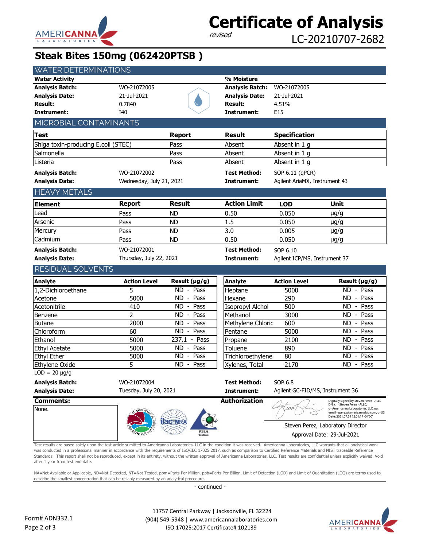

# **Certificate of Analysis**

LC-20210707-2682

#### **Steak Bites 150mg (062420PTSB )**

| <b>WATER DETERMINATIONS</b>                               |                          |                        |                         |                                  |                                                                                                                                                                                            |
|-----------------------------------------------------------|--------------------------|------------------------|-------------------------|----------------------------------|--------------------------------------------------------------------------------------------------------------------------------------------------------------------------------------------|
| <b>Water Activity</b>                                     |                          |                        | % Moisture              |                                  |                                                                                                                                                                                            |
| <b>Analysis Batch:</b>                                    | WO-21072005              |                        | <b>Analysis Batch:</b>  | WO-21072005                      |                                                                                                                                                                                            |
| <b>Analysis Date:</b>                                     | 21-Jul-2021              |                        | <b>Analysis Date:</b>   | 21-Jul-2021                      |                                                                                                                                                                                            |
| <b>Result:</b>                                            | 0.7840                   |                        | <b>Result:</b>          | 4.51%                            |                                                                                                                                                                                            |
| <b>Instrument:</b>                                        | I40                      |                        | Instrument:             | E15                              |                                                                                                                                                                                            |
| MICROBIAL CONTAMINANTS                                    |                          |                        |                         |                                  |                                                                                                                                                                                            |
| <b>Test</b>                                               |                          | <b>Report</b>          | <b>Result</b>           | <b>Specification</b>             |                                                                                                                                                                                            |
| Shiga toxin-producing E.coli (STEC)                       |                          | Pass                   | Absent                  | Absent in 1 g                    |                                                                                                                                                                                            |
| Salmonella                                                |                          | Pass                   | Absent                  | Absent in 1 g                    |                                                                                                                                                                                            |
| Listeria                                                  |                          | Pass                   | Absent                  | Absent in 1 g                    |                                                                                                                                                                                            |
| <b>Analysis Batch:</b>                                    | WO-21072002              |                        | <b>Test Method:</b>     | SOP 6.11 (qPCR)                  |                                                                                                                                                                                            |
| <b>Analysis Date:</b>                                     | Wednesday, July 21, 2021 |                        | Instrument:             | Agilent AriaMX, Instrument 43    |                                                                                                                                                                                            |
| <b>HEAVY METALS</b>                                       |                          |                        |                         |                                  |                                                                                                                                                                                            |
| <b>Element</b>                                            | <b>Report</b>            | <b>Result</b>          | <b>Action Limit</b>     | <b>LOD</b>                       | Unit                                                                                                                                                                                       |
| Lead                                                      | Pass                     | <b>ND</b>              | 0.50                    | 0.050                            | $\mu$ g/g                                                                                                                                                                                  |
| Arsenic                                                   | Pass                     | <b>ND</b>              | 1.5                     | 0.050                            | $\mu$ g/g                                                                                                                                                                                  |
| Mercury                                                   | Pass                     | <b>ND</b>              | 3.0                     | 0.005                            | $\mu$ g/g                                                                                                                                                                                  |
| Cadmium                                                   | Pass                     | <b>ND</b>              | 0.50                    | 0.050                            | $\mu$ g/g                                                                                                                                                                                  |
|                                                           |                          |                        |                         |                                  |                                                                                                                                                                                            |
| <b>Analysis Batch:</b>                                    | WO-21072001              |                        | <b>Test Method:</b>     | SOP 6.10                         |                                                                                                                                                                                            |
| <b>Analysis Date:</b>                                     | Thursday, July 22, 2021  |                        | Instrument:             | Agilent ICP/MS, Instrument 37    |                                                                                                                                                                                            |
|                                                           |                          |                        |                         |                                  |                                                                                                                                                                                            |
| RESIDUAL SOLVENTS                                         |                          |                        |                         |                                  |                                                                                                                                                                                            |
| <b>Analyte</b>                                            | <b>Action Level</b>      | Result (µg/g)          | <b>Analyte</b>          | <b>Action Level</b>              | Result (µg/g)                                                                                                                                                                              |
| 1,2-Dichloroethane                                        | 5                        | ND - Pass              | Heptane                 | 5000                             | ND - Pass                                                                                                                                                                                  |
| Acetone                                                   | 5000                     | ND - Pass              | Hexane                  | 290                              | ND - Pass                                                                                                                                                                                  |
| Acetonitrile                                              | 410                      | ND - Pass              | <b>Isopropyl Alchol</b> | 500                              | $ND - Pass$                                                                                                                                                                                |
| Benzene                                                   | 2                        | ND - Pass              | Methanol                | 3000                             | $ND - Pass$                                                                                                                                                                                |
| <b>Butane</b>                                             | 2000                     | ND - Pass              | Methylene Chloric       | 600                              | ND - Pass                                                                                                                                                                                  |
| Chloroform                                                | 60                       | $\overline{ND}$ - Pass | Pentane                 | 5000                             | ND - Pass                                                                                                                                                                                  |
| Ethanol                                                   | 5000                     | 237.1 - Pass           | Propane                 | 2100                             | ND - Pass                                                                                                                                                                                  |
| <b>Ethyl Acetate</b>                                      | 5000                     | ND - Pass              | Toluene                 | 890                              | ND - Pass                                                                                                                                                                                  |
| Ethyl Ether                                               | 5000                     | $ND -$<br>Pass         | Trichloroethylene       | 80                               | ND - Pass                                                                                                                                                                                  |
| Ethylene Oxide                                            | 5                        | ND - Pass              | Xylenes, Total          | 2170                             | ND - Pass                                                                                                                                                                                  |
| $\overline{\text{LOD} = 20 \text{ }\mu\text{g}}/\text{g}$ |                          |                        |                         |                                  |                                                                                                                                                                                            |
| <b>Analysis Batch:</b>                                    | WO-21072004              |                        | <b>Test Method:</b>     | SOP 6.8                          |                                                                                                                                                                                            |
| <b>Analysis Date:</b>                                     | Tuesday, July 20, 2021   |                        | Instrument:             | Agilent GC-FID/MS, Instrument 36 |                                                                                                                                                                                            |
| <b>Comments:</b><br>None.                                 | <b>ASTICE A</b>          |                        | <b>Authorization</b>    | 112                              | Digitally signed by Steven Perez - ALLC<br>DN: cn=Steven Perez - ALLC,<br>o=Americanna Laboratories, LLC, ou,<br>email=sperez@americannalab.com, c=US<br>Date: 2021.07.29 12:01:17 -04'00' |
|                                                           |                          |                        |                         |                                  | Steven Perez, Laboratory Director                                                                                                                                                          |
|                                                           |                          | PJLA<br>Testing        |                         |                                  | Approval Date: 29-Jul-2021                                                                                                                                                                 |

Standards. This report shall not be reproduced, except in its entirety, without the written approval of Americanna Laboratories, LLC. Test results are confidential unless explicitly waived. Void after 1 year from test end date.

NA=Not Available or Applicable, ND=Not Detected, NT=Not Tested, ppm=Parts Per Million, ppb=Parts Per Billion. Limit of Detection (LOD) and Limit of Quantitation (LOQ) are terms used to describe the smallest concentration that can be reliably measured by an analytical procedure.

- continued -

 11757 Central Parkway | Jacksonville, FL 32224 (904) 549-5948 | www.americannalaboratories.com ISO 17025:2017 Certificate# 102139